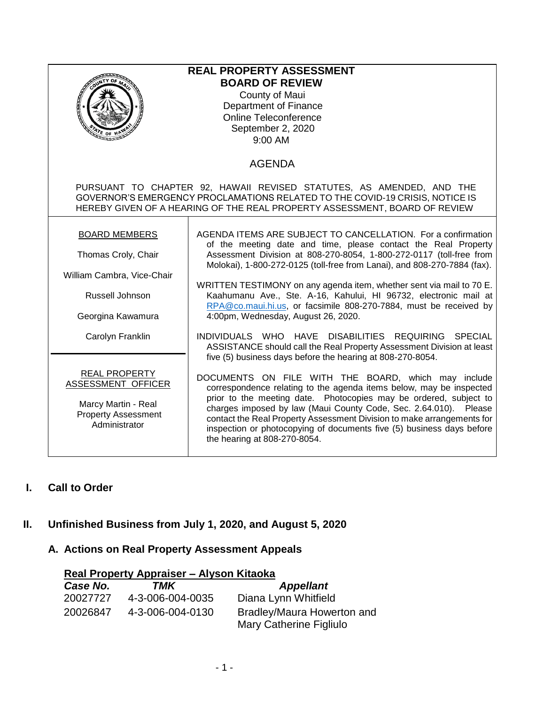| <b>REAL PROPERTY ASSESSMENT</b><br><b>BOARD OF REVIEW</b><br>County of Maui<br>Department of Finance<br>Online Teleconference<br>September 2, 2020<br>$\varepsilon$ or $v$<br>mana<br>9:00 AM                                      |                                                                                                                                                                                                                                                                                                                                                                                                                                                                                                                                           |  |
|------------------------------------------------------------------------------------------------------------------------------------------------------------------------------------------------------------------------------------|-------------------------------------------------------------------------------------------------------------------------------------------------------------------------------------------------------------------------------------------------------------------------------------------------------------------------------------------------------------------------------------------------------------------------------------------------------------------------------------------------------------------------------------------|--|
|                                                                                                                                                                                                                                    | <b>AGENDA</b>                                                                                                                                                                                                                                                                                                                                                                                                                                                                                                                             |  |
| PURSUANT TO CHAPTER 92, HAWAII REVISED STATUTES, AS AMENDED, AND THE<br>GOVERNOR'S EMERGENCY PROCLAMATIONS RELATED TO THE COVID-19 CRISIS, NOTICE IS<br>HEREBY GIVEN OF A HEARING OF THE REAL PROPERTY ASSESSMENT, BOARD OF REVIEW |                                                                                                                                                                                                                                                                                                                                                                                                                                                                                                                                           |  |
| <b>BOARD MEMBERS</b>                                                                                                                                                                                                               | AGENDA ITEMS ARE SUBJECT TO CANCELLATION. For a confirmation<br>of the meeting date and time, please contact the Real Property<br>Assessment Division at 808-270-8054, 1-800-272-0117 (toll-free from<br>Molokai), 1-800-272-0125 (toll-free from Lanai), and 808-270-7884 (fax).<br>WRITTEN TESTIMONY on any agenda item, whether sent via mail to 70 E.<br>Kaahumanu Ave., Ste. A-16, Kahului, HI 96732, electronic mail at<br>RPA@co.maui.hi.us, or facsimile 808-270-7884, must be received by<br>4:00pm, Wednesday, August 26, 2020. |  |
| Thomas Croly, Chair                                                                                                                                                                                                                |                                                                                                                                                                                                                                                                                                                                                                                                                                                                                                                                           |  |
| William Cambra, Vice-Chair<br>Russell Johnson                                                                                                                                                                                      |                                                                                                                                                                                                                                                                                                                                                                                                                                                                                                                                           |  |
| Georgina Kawamura                                                                                                                                                                                                                  |                                                                                                                                                                                                                                                                                                                                                                                                                                                                                                                                           |  |
| Carolyn Franklin                                                                                                                                                                                                                   | INDIVIDUALS WHO HAVE DISABILITIES REQUIRING SPECIAL<br>ASSISTANCE should call the Real Property Assessment Division at least<br>five (5) business days before the hearing at 808-270-8054.                                                                                                                                                                                                                                                                                                                                                |  |
| <b>REAL PROPERTY</b><br><b>ASSESSMENT OFFICER</b><br>Marcy Martin - Real<br><b>Property Assessment</b><br>Administrator                                                                                                            | DOCUMENTS ON FILE WITH THE BOARD, which may include<br>correspondence relating to the agenda items below, may be inspected<br>prior to the meeting date. Photocopies may be ordered, subject to<br>charges imposed by law (Maui County Code, Sec. 2.64.010). Please<br>contact the Real Property Assessment Division to make arrangements for<br>inspection or photocopying of documents five (5) business days before<br>the hearing at 808-270-8054.                                                                                    |  |

# **I. Call to Order**

# **II. Unfinished Business from July 1, 2020, and August 5, 2020**

### **A. Actions on Real Property Assessment Appeals**

| Real Property Appraiser - Alyson Kitaoka |                  |                                                       |  |
|------------------------------------------|------------------|-------------------------------------------------------|--|
| Case No.                                 | TMK              | <b>Appellant</b>                                      |  |
| 20027727                                 | 4-3-006-004-0035 | Diana Lynn Whitfield                                  |  |
| 20026847                                 | 4-3-006-004-0130 | Bradley/Maura Howerton and<br>Mary Catherine Figliulo |  |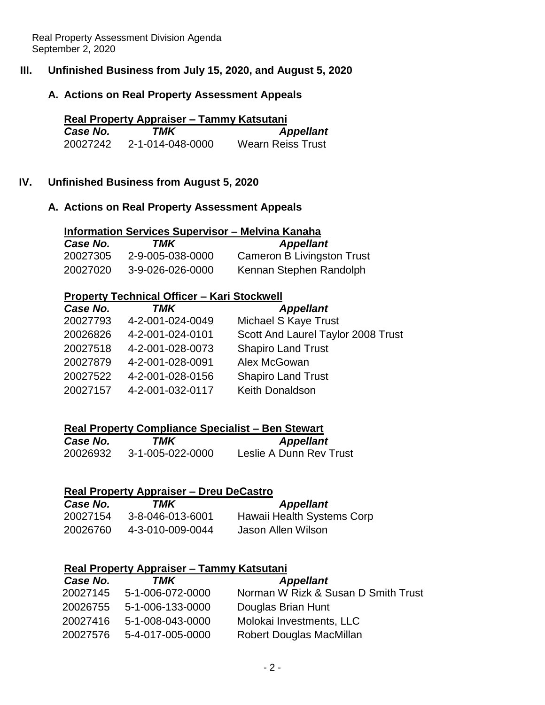# **III. Unfinished Business from July 15, 2020, and August 5, 2020**

### **A. Actions on Real Property Assessment Appeals**

| Real Property Appraiser – Tammy Katsutani |                  |                   |
|-------------------------------------------|------------------|-------------------|
| Case No.                                  | TMK              | <b>Appellant</b>  |
| 20027242                                  | 2-1-014-048-0000 | Wearn Reiss Trust |

### **IV. Unfinished Business from August 5, 2020**

### **A. Actions on Real Property Assessment Appeals**

| <b>Information Services Supervisor - Melvina Kanaha</b> |                  |                                   |
|---------------------------------------------------------|------------------|-----------------------------------|
| Case No.                                                | TMK              | <b>Appellant</b>                  |
| 20027305                                                | 2-9-005-038-0000 | <b>Cameron B Livingston Trust</b> |
| 20027020                                                | 3-9-026-026-0000 | Kennan Stephen Randolph           |

# **Property Technical Officer – Kari Stockwell**

| Case No. | <b>TMK</b>       | <b>Appellant</b>                   |
|----------|------------------|------------------------------------|
| 20027793 | 4-2-001-024-0049 | Michael S Kaye Trust               |
| 20026826 | 4-2-001-024-0101 | Scott And Laurel Taylor 2008 Trust |
| 20027518 | 4-2-001-028-0073 | <b>Shapiro Land Trust</b>          |
| 20027879 | 4-2-001-028-0091 | Alex McGowan                       |
| 20027522 | 4-2-001-028-0156 | <b>Shapiro Land Trust</b>          |
| 20027157 | 4-2-001-032-0117 | Keith Donaldson                    |

# **Real Property Compliance Specialist – Ben Stewart**

| Case No. | TMK              | <b>Appellant</b>        |
|----------|------------------|-------------------------|
| 20026932 | 3-1-005-022-0000 | Leslie A Dunn Rev Trust |

### **Real Property Appraiser – Dreu DeCastro**

| Case No. | TMK              | <b>Appellant</b>           |
|----------|------------------|----------------------------|
| 20027154 | 3-8-046-013-6001 | Hawaii Health Systems Corp |
| 20026760 | 4-3-010-009-0044 | Jason Allen Wilson         |

### **Real Property Appraiser – Tammy Katsutani**

| Case No. | TMK                       | <b>Appellant</b>                    |
|----------|---------------------------|-------------------------------------|
|          | 20027145 5-1-006-072-0000 | Norman W Rizk & Susan D Smith Trust |
| 20026755 | 5-1-006-133-0000          | Douglas Brian Hunt                  |
| 20027416 | 5-1-008-043-0000          | Molokai Investments, LLC            |
| 20027576 | 5-4-017-005-0000          | Robert Douglas MacMillan            |